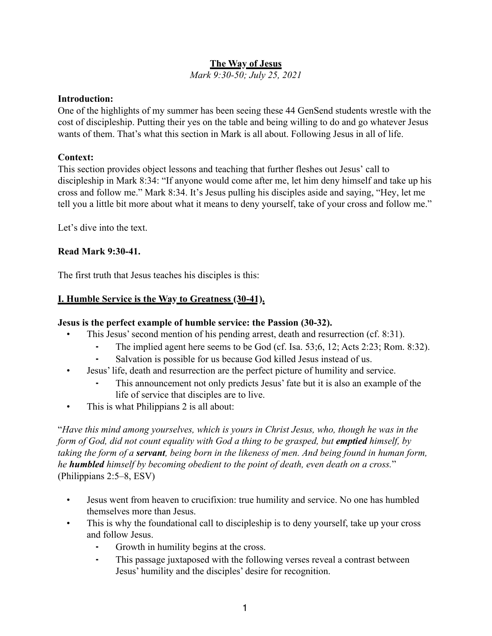# **The Way of Jesus**

*Mark 9:30-50; July 25, 2021*

#### **Introduction:**

One of the highlights of my summer has been seeing these 44 GenSend students wrestle with the cost of discipleship. Putting their yes on the table and being willing to do and go whatever Jesus wants of them. That's what this section in Mark is all about. Following Jesus in all of life.

### **Context:**

This section provides object lessons and teaching that further fleshes out Jesus' call to discipleship in Mark 8:34: "If anyone would come after me, let him deny himself and take up his cross and follow me." Mark 8:34. It's Jesus pulling his disciples aside and saying, "Hey, let me tell you a little bit more about what it means to deny yourself, take of your cross and follow me."

Let's dive into the text.

### **Read Mark 9:30-41.**

The first truth that Jesus teaches his disciples is this:

### **I. Humble Service is the Way to Greatness (30-41).**

#### **Jesus is the perfect example of humble service: the Passion (30-32).**

- This Jesus' second mention of his pending arrest, death and resurrection (cf. 8:31).
	- The implied agent here seems to be God (cf. Isa. 53;6, 12; Acts 2:23; Rom. 8:32).
	- Salvation is possible for us because God killed Jesus instead of us.
- Jesus' life, death and resurrection are the perfect picture of humility and service.
	- This announcement not only predicts Jesus' fate but it is also an example of the life of service that disciples are to live.
- This is what Philippians 2 is all about:

"*Have this mind among yourselves, which is yours in Christ Jesus, who, though he was in the form of God, did not count equality with God a thing to be grasped, but emptied himself, by taking the form of a servant, being born in the likeness of men. And being found in human form, he humbled himself by becoming obedient to the point of death, even death on a cross.*" (Philippians 2:5–8, ESV)

- Jesus went from heaven to crucifixion: true humility and service. No one has humbled themselves more than Jesus.
- This is why the foundational call to discipleship is to deny yourself, take up your cross and follow Jesus.
	- Growth in humility begins at the cross.
	- This passage juxtaposed with the following verses reveal a contrast between Jesus' humility and the disciples' desire for recognition.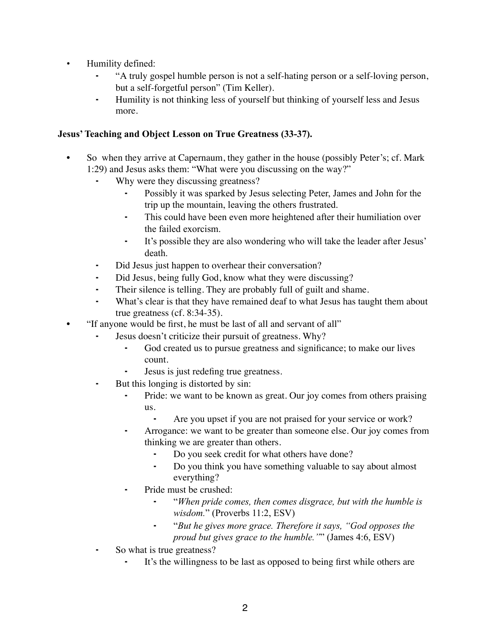- Humility defined:
	- ⁃ "A truly gospel humble person is not a self-hating person or a self-loving person, but a self-forgetful person" (Tim Keller).
	- ⁃ Humility is not thinking less of yourself but thinking of yourself less and Jesus more.

### **Jesus' Teaching and Object Lesson on True Greatness (33-37).**

- So when they arrive at Capernaum, they gather in the house (possibly Peter's; cf. Mark 1:29) and Jesus asks them: "What were you discussing on the way?"
	- Why were they discussing greatness?
		- ⁃ Possibly it was sparked by Jesus selecting Peter, James and John for the trip up the mountain, leaving the others frustrated.
		- ⁃ This could have been even more heightened after their humiliation over the failed exorcism.
		- ⁃ It's possible they are also wondering who will take the leader after Jesus' death.
	- Did Jesus just happen to overhear their conversation?
	- Did Jesus, being fully God, know what they were discussing?
	- Their silence is telling. They are probably full of guilt and shame.
	- What's clear is that they have remained deaf to what Jesus has taught them about true greatness (cf. 8:34-35).
- "If anyone would be first, he must be last of all and servant of all"
	- Jesus doesn't criticize their pursuit of greatness. Why?
		- God created us to pursue greatness and significance; to make our lives count.
		- Jesus is just redefing true greatness.
	- ⁃ But this longing is distorted by sin:
		- Pride: we want to be known as great. Our joy comes from others praising us.
			- Are you upset if you are not praised for your service or work?
		- ⁃ Arrogance: we want to be greater than someone else. Our joy comes from thinking we are greater than others.
			- ⁃ Do you seek credit for what others have done?
			- ⁃ Do you think you have something valuable to say about almost everything?
		- ⁃ Pride must be crushed:
			- ⁃ "*When pride comes, then comes disgrace, but with the humble is wisdom.*" (Proverbs 11:2, ESV)
			- ⁃ "*But he gives more grace. Therefore it says, "God opposes the proud but gives grace to the humble."*" (James 4:6, ESV)
	- So what is true greatness?
		- It's the willingness to be last as opposed to being first while others are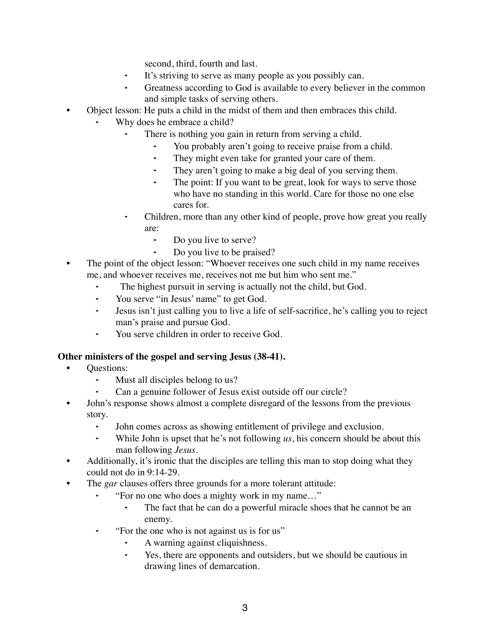second, third, fourth and last.

- It's striving to serve as many people as you possibly can.
- ⁃ Greatness according to God is available to every believer in the common and simple tasks of serving others.
- Object lesson: He puts a child in the midst of them and then embraces this child.
	- Why does he embrace a child?
		- There is nothing you gain in return from serving a child.
			- You probably aren't going to receive praise from a child.
			- ⁃ They might even take for granted your care of them.
			- ⁃ They aren't going to make a big deal of you serving them.
			- ⁃ The point: If you want to be great, look for ways to serve those who have no standing in this world. Care for those no one else cares for.
		- Children, more than any other kind of people, prove how great you really are:
			- ⁃ Do you live to serve?
			- ⁃ Do you live to be praised?
- The point of the object lesson: "Whoever receives one such child in my name receives me, and whoever receives me, receives not me but him who sent me."
	- The highest pursuit in serving is actually not the child, but God.
	- ⁃ You serve "in Jesus' name" to get God.
	- ⁃ Jesus isn't just calling you to live a life of self-sacrifice, he's calling you to reject man's praise and pursue God.
	- You serve children in order to receive God.

#### **Other ministers of the gospel and serving Jesus (38-41).**

- Questions:
	- ⁃ Must all disciples belong to us?
	- Can a genuine follower of Jesus exist outside off our circle?
- John's response shows almost a complete disregard of the lessons from the previous story.
	- ⁃ John comes across as showing entitlement of privilege and exclusion.
	- ⁃ While John is upset that he's not following *us*, his concern should be about this man following *Jesus*.
- Additionally, it's ironic that the disciples are telling this man to stop doing what they could not do in 9:14-29.
- The *gar* clauses offers three grounds for a more tolerant attitude:
	- ⁃ "For no one who does a mighty work in my name…"
		- ⁃ The fact that he can do a powerful miracle shoes that he cannot be an enemy.
	- ⁃ "For the one who is not against us is for us"
		- A warning against cliquishness.
		- ⁃ Yes, there are opponents and outsiders, but we should be cautious in drawing lines of demarcation.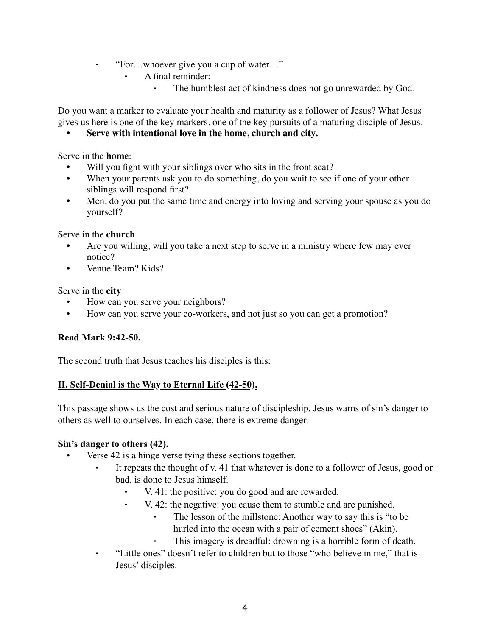- ⁃ "For…whoever give you a cup of water…"
	- A final reminder:
		- ⁃ The humblest act of kindness does not go unrewarded by God.

Do you want a marker to evaluate your health and maturity as a follower of Jesus? What Jesus gives us here is one of the key markers, one of the key pursuits of a maturing disciple of Jesus.

**• Serve with intentional love in the home, church and city.** 

Serve in the **home**:

- Will you fight with your siblings over who sits in the front seat?
- When your parents ask you to do something, do you wait to see if one of your other siblings will respond first?
- Men, do you put the same time and energy into loving and serving your spouse as you do yourself?

#### Serve in the **church**

- Are you willing, will you take a next step to serve in a ministry where few may ever notice?
- Venue Team? Kids?

#### Serve in the **city**

- How can you serve your neighbors?
- How can you serve your co-workers, and not just so you can get a promotion?

### **Read Mark 9:42-50.**

The second truth that Jesus teaches his disciples is this:

### **II. Self-Denial is the Way to Eternal Life (42-50).**

This passage shows us the cost and serious nature of discipleship. Jesus warns of sin's danger to others as well to ourselves. In each case, there is extreme danger.

### **Sin's danger to others (42).**

- Verse 42 is a hinge verse tying these sections together.
	- It repeats the thought of v. 41 that whatever is done to a follower of Jesus, good or bad, is done to Jesus himself.
		- V. 41: the positive: you do good and are rewarded.
		- ⁃ V. 42: the negative: you cause them to stumble and are punished.
			- The lesson of the millstone: Another way to say this is "to be hurled into the ocean with a pair of cement shoes" (Akin).
			- This imagery is dreadful: drowning is a horrible form of death.
	- ⁃ "Little ones" doesn't refer to children but to those "who believe in me," that is Jesus' disciples.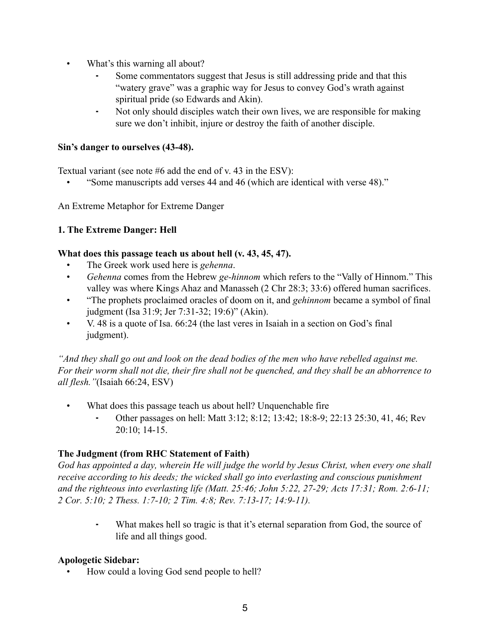- What's this warning all about?
	- Some commentators suggest that Jesus is still addressing pride and that this "watery grave" was a graphic way for Jesus to convey God's wrath against spiritual pride (so Edwards and Akin).
	- Not only should disciples watch their own lives, we are responsible for making sure we don't inhibit, injure or destroy the faith of another disciple.

#### **Sin's danger to ourselves (43-48).**

Textual variant (see note #6 add the end of v. 43 in the ESV):

• "Some manuscripts add verses 44 and 46 (which are identical with verse 48)."

An Extreme Metaphor for Extreme Danger

### **1. The Extreme Danger: Hell**

#### **What does this passage teach us about hell (v. 43, 45, 47).**

- The Greek work used here is *gehenna*.
- *Gehenna* comes from the Hebrew *ge-hinnom* which refers to the "Vally of Hinnom." This valley was where Kings Ahaz and Manasseh (2 Chr 28:3; 33:6) offered human sacrifices.
- "The prophets proclaimed oracles of doom on it, and *gehinnom* became a symbol of final judgment (Isa 31:9; Jer 7:31-32; 19:6)" (Akin).
- V. 48 is a quote of Isa. 66:24 (the last veres in Isaiah in a section on God's final judgment).

*"And they shall go out and look on the dead bodies of the men who have rebelled against me. For their worm shall not die, their fire shall not be quenched, and they shall be an abhorrence to all flesh."*(Isaiah 66:24, ESV)

- What does this passage teach us about hell? Unquenchable fire
	- Other passages on hell: Matt 3:12; 8:12; 13:42; 18:8-9; 22:13 25:30, 41, 46; Rev 20:10; 14-15.

# **The Judgment (from RHC Statement of Faith)**

*God has appointed a day, wherein He will judge the world by Jesus Christ, when every one shall receive according to his deeds; the wicked shall go into everlasting and conscious punishment and the righteous into everlasting life (Matt. 25:46; John 5:22, 27-29; Acts 17:31; Rom. 2:6-11; 2 Cor. 5:10; 2 Thess. 1:7-10; 2 Tim. 4:8; Rev. 7:13-17; 14:9-11).*

What makes hell so tragic is that it's eternal separation from God, the source of life and all things good.

### **Apologetic Sidebar:**

• How could a loving God send people to hell?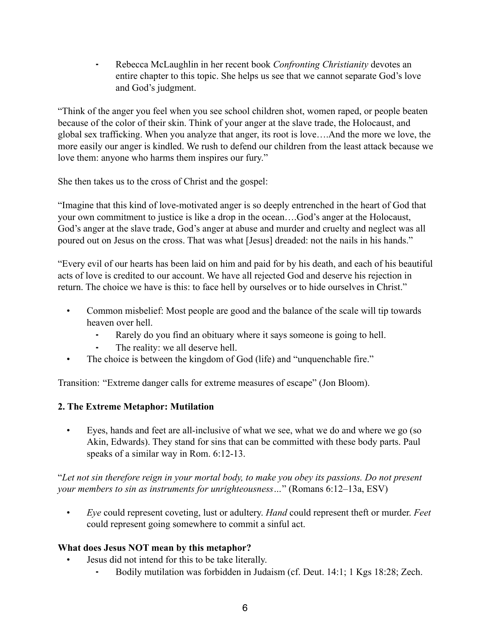⁃ Rebecca McLaughlin in her recent book *Confronting Christianity* devotes an entire chapter to this topic. She helps us see that we cannot separate God's love and God's judgment.

"Think of the anger you feel when you see school children shot, women raped, or people beaten because of the color of their skin. Think of your anger at the slave trade, the Holocaust, and global sex trafficking. When you analyze that anger, its root is love….And the more we love, the more easily our anger is kindled. We rush to defend our children from the least attack because we love them: anyone who harms them inspires our fury."

She then takes us to the cross of Christ and the gospel:

"Imagine that this kind of love-motivated anger is so deeply entrenched in the heart of God that your own commitment to justice is like a drop in the ocean….God's anger at the Holocaust, God's anger at the slave trade, God's anger at abuse and murder and cruelty and neglect was all poured out on Jesus on the cross. That was what [Jesus] dreaded: not the nails in his hands."

"Every evil of our hearts has been laid on him and paid for by his death, and each of his beautiful acts of love is credited to our account. We have all rejected God and deserve his rejection in return. The choice we have is this: to face hell by ourselves or to hide ourselves in Christ."

- Common misbelief: Most people are good and the balance of the scale will tip towards heaven over hell.
	- Rarely do you find an obituary where it says someone is going to hell.
	- The reality: we all deserve hell.
- The choice is between the kingdom of God (life) and "unquenchable fire."

Transition: "Extreme danger calls for extreme measures of escape" (Jon Bloom).

# **2. The Extreme Metaphor: Mutilation**

• Eyes, hands and feet are all-inclusive of what we see, what we do and where we go (so Akin, Edwards). They stand for sins that can be committed with these body parts. Paul speaks of a similar way in Rom. 6:12-13.

"*Let not sin therefore reign in your mortal body, to make you obey its passions. Do not present your members to sin as instruments for unrighteousness…*" (Romans 6:12–13a, ESV)

• *Eye* could represent coveting, lust or adultery. *Hand* could represent theft or murder. *Feet* could represent going somewhere to commit a sinful act.

# **What does Jesus NOT mean by this metaphor?**

- Jesus did not intend for this to be take literally.
	- Bodily mutilation was forbidden in Judaism (cf. Deut. 14:1; 1 Kgs 18:28; Zech.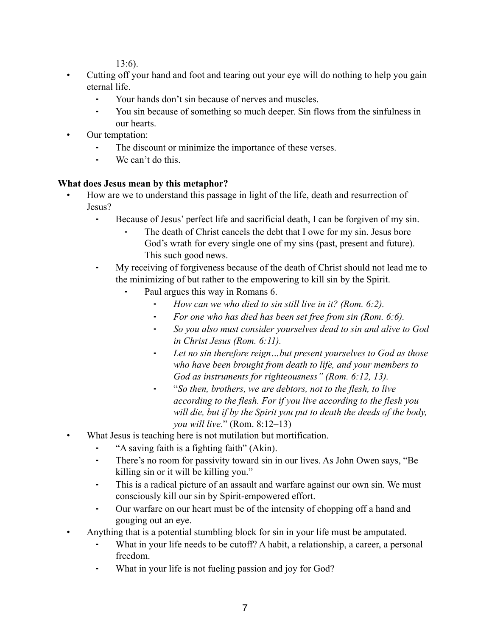13:6).

- Cutting off your hand and foot and tearing out your eye will do nothing to help you gain eternal life.
	- Your hands don't sin because of nerves and muscles.
	- ⁃ You sin because of something so much deeper. Sin flows from the sinfulness in our hearts.
- Our temptation:
	- ⁃ The discount or minimize the importance of these verses.
	- ⁃ We can't do this.

# **What does Jesus mean by this metaphor?**

- How are we to understand this passage in light of the life, death and resurrection of Jesus?
	- ⁃ Because of Jesus' perfect life and sacrificial death, I can be forgiven of my sin.
		- The death of Christ cancels the debt that I owe for my sin. Jesus bore God's wrath for every single one of my sins (past, present and future). This such good news.
	- ⁃ My receiving of forgiveness because of the death of Christ should not lead me to the minimizing of but rather to the empowering to kill sin by the Spirit.
		- Paul argues this way in Romans 6.
			- ⁃ *How can we who died to sin still live in it? (Rom. 6:2).*
			- ⁃ *For one who has died has been set free from sin (Rom. 6:6).*
			- ⁃ *So you also must consider yourselves dead to sin and alive to God in Christ Jesus (Rom. 6:11).*
			- ⁃ *Let no sin therefore reign…but present yourselves to God as those who have been brought from death to life, and your members to God as instruments for righteousness" (Rom. 6:12, 13).*
			- ⁃ "*So then, brothers, we are debtors, not to the flesh, to live according to the flesh. For if you live according to the flesh you will die, but if by the Spirit you put to death the deeds of the body, you will live.*" (Rom. 8:12–13)
- What Jesus is teaching here is not mutilation but mortification.
	- ⁃ "A saving faith is a fighting faith" (Akin).
	- ⁃ There's no room for passivity toward sin in our lives. As John Owen says, "Be killing sin or it will be killing you."
	- ⁃ This is a radical picture of an assault and warfare against our own sin. We must consciously kill our sin by Spirit-empowered effort.
	- ⁃ Our warfare on our heart must be of the intensity of chopping off a hand and gouging out an eye.
- Anything that is a potential stumbling block for sin in your life must be amputated.
	- ⁃ What in your life needs to be cutoff? A habit, a relationship, a career, a personal freedom.
	- What in your life is not fueling passion and joy for God?